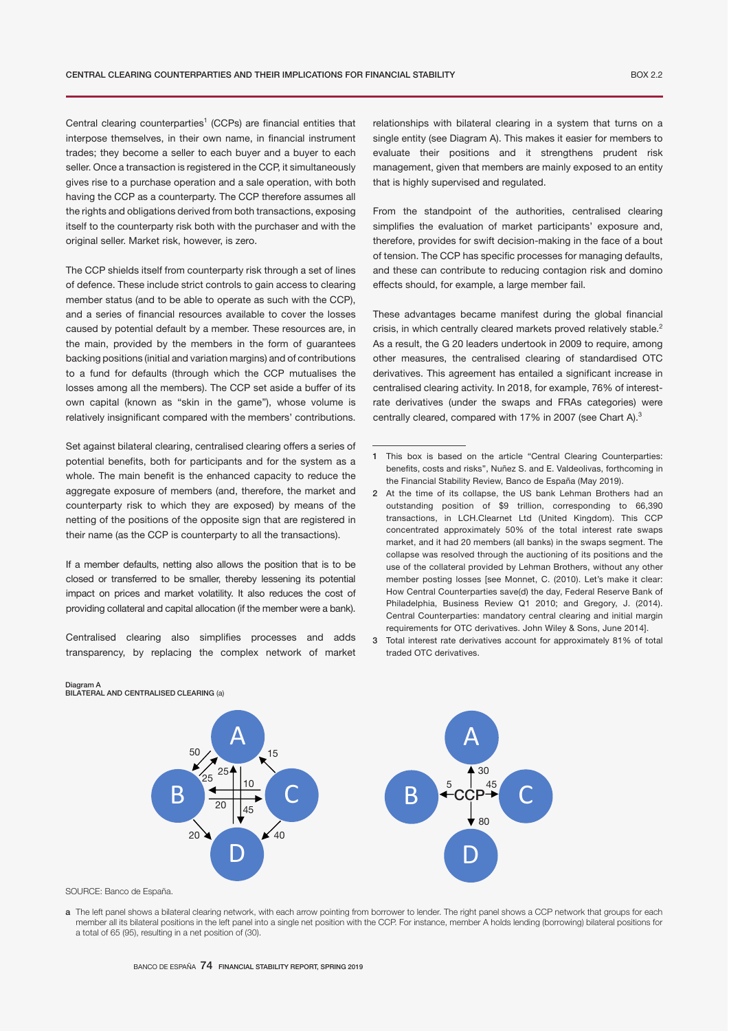Central clearing counterparties<sup>1</sup> (CCPs) are financial entities that interpose themselves, in their own name, in financial instrument trades; they become a seller to each buyer and a buyer to each seller. Once a transaction is registered in the CCP, it simultaneously gives rise to a purchase operation and a sale operation, with both having the CCP as a counterparty. The CCP therefore assumes all the rights and obligations derived from both transactions, exposing itself to the counterparty risk both with the purchaser and with the original seller. Market risk, however, is zero.

The CCP shields itself from counterparty risk through a set of lines of defence. These include strict controls to gain access to clearing member status (and to be able to operate as such with the CCP), and a series of financial resources available to cover the losses caused by potential default by a member. These resources are, in the main, provided by the members in the form of guarantees backing positions (initial and variation margins) and of contributions to a fund for defaults (through which the CCP mutualises the losses among all the members). The CCP set aside a buffer of its own capital (known as "skin in the game"), whose volume is relatively insignificant compared with the members' contributions.

Set against bilateral clearing, centralised clearing offers a series of potential benefits, both for participants and for the system as a whole. The main benefit is the enhanced capacity to reduce the aggregate exposure of members (and, therefore, the market and counterparty risk to which they are exposed) by means of the netting of the positions of the opposite sign that are registered in their name (as the CCP is counterparty to all the transactions).

If a member defaults, netting also allows the position that is to be closed or transferred to be smaller, thereby lessening its potential impact on prices and market volatility. It also reduces the cost of providing collateral and capital allocation (if the member were a bank).

Centralised clearing also simplifies processes and adds transparency, by replacing the complex network of market relationships with bilateral clearing in a system that turns on a single entity (see Diagram A). This makes it easier for members to evaluate their positions and it strengthens prudent risk management, given that members are mainly exposed to an entity that is highly supervised and regulated.

From the standpoint of the authorities, centralised clearing simplifies the evaluation of market participants' exposure and, therefore, provides for swift decision-making in the face of a bout of tension. The CCP has specific processes for managing defaults, and these can contribute to reducing contagion risk and domino effects should, for example, a large member fail.

These advantages became manifest during the global financial crisis, in which centrally cleared markets proved relatively stable.<sup>2</sup> As a result, the G 20 leaders undertook in 2009 to require, among other measures, the centralised clearing of standardised OTC derivatives. This agreement has entailed a significant increase in centralised clearing activity. In 2018, for example, 76% of interestrate derivatives (under the swaps and FRAs categories) were centrally cleared, compared with 17% in 2007 (see Chart A).<sup>3</sup>

- 2 At the time of its collapse, the US bank Lehman Brothers had an outstanding position of \$9 trillion, corresponding to 66,390 transactions, in LCH.Clearnet Ltd (United Kingdom). This CCP concentrated approximately 50% of the total interest rate swaps market, and it had 20 members (all banks) in the swaps segment. The collapse was resolved through the auctioning of its positions and the use of the collateral provided by Lehman Brothers, without any other member posting losses [see Monnet, C. (2010). Let's make it clear: How Central Counterparties save(d) the day, Federal Reserve Bank of Philadelphia, Business Review Q1 2010; and Gregory, J. (2014). Central Counterparties: mandatory central clearing and initial margin requirements for OTC derivatives. John Wiley & Sons, June 2014].
- 3 Total interest rate derivatives account for approximately 81% of total traded OTC derivatives.



SOURCE: Banco de España.

Diagram A BILATERAL AND CENTRALISED CLEARING (a)

a The left panel shows a bilateral clearing network, with each arrow pointing from borrower to lender. The right panel shows a CCP network that groups for each member all its bilateral positions in the left panel into a single net position with the CCP. For instance, member A holds lending (borrowing) bilateral positions for a total of 65 (95), resulting in a net position of (30).

<sup>1</sup> This box is based on the article "Central Clearing Counterparties: benefits, costs and risks", Nuñez S. and E. Valdeolivas, forthcoming in the Financial Stability Review, Banco de España (May 2019).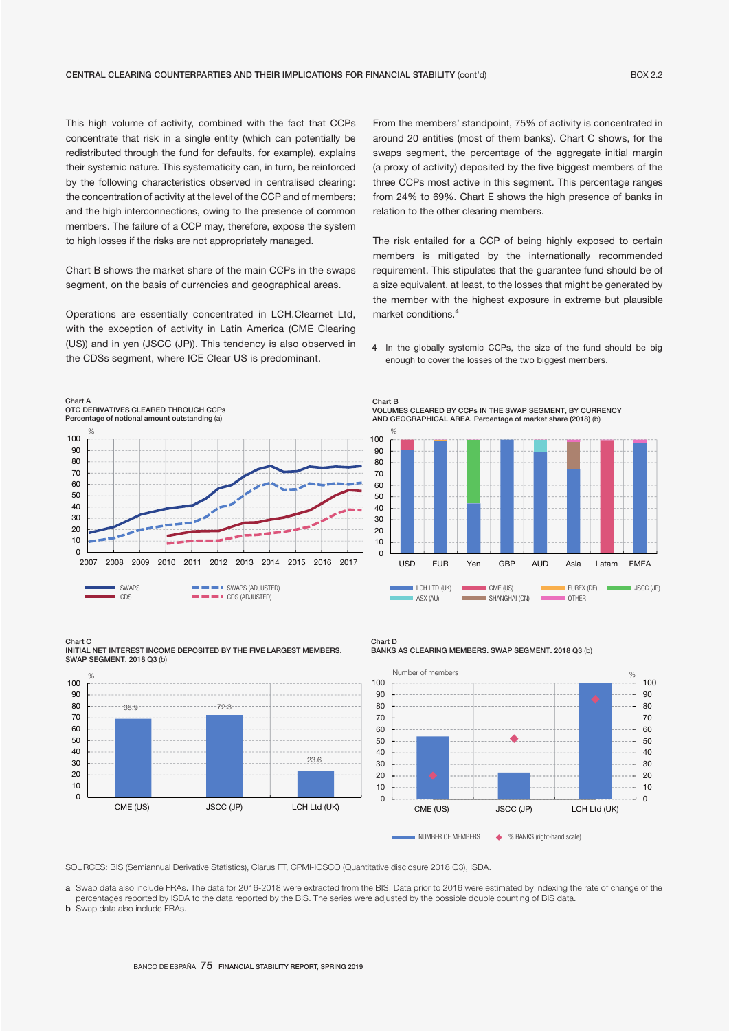This high volume of activity, combined with the fact that CCPs concentrate that risk in a single entity (which can potentially be redistributed through the fund for defaults, for example), explains their systemic nature. This systematicity can, in turn, be reinforced by the following characteristics observed in centralised clearing: the concentration of activity at the level of the CCP and of members; and the high interconnections, owing to the presence of common members. The failure of a CCP may, therefore, expose the system to high losses if the risks are not appropriately managed.

Chart B shows the market share of the main CCPs in the swaps segment, on the basis of currencies and geographical areas.

Operations are essentially concentrated in LCH.Clearnet Ltd, with the exception of activity in Latin America (CME Clearing (US)) and in yen (JSCC (JP)). This tendency is also observed in the CDSs segment, where ICE Clear US is predominant.

 $\Omega$ 10 20  $30$  $40$ 50 60 70 80 90 100 2007 2008 2009 2010 2011 2012 2013 2014 2015 2016 2017 Chart A OTC DERIVATIVES CLEARED THROUGH CCPs Percentage of notional amount outstanding (a) %

 $\blacksquare$  $\blacksquare$  $\blacksquare$   $\blacksquare$   $\blacksquare$   $\blacksquare$   $\blacksquare$   $\blacksquare$   $\blacksquare$   $\blacksquare$   $\blacksquare$   $\blacksquare$   $\blacksquare$   $\blacksquare$   $\blacksquare$   $\blacksquare$   $\blacksquare$   $\blacksquare$   $\blacksquare$   $\blacksquare$   $\blacksquare$   $\blacksquare$   $\blacksquare$   $\blacksquare$   $\blacksquare$   $\blacksquare$   $\blacksquare$   $\blacksquare$   $\blacksquare$   $\blacksquare$   $\blacksquare$   $\blacksquare$ 

4 In the globally systemic CCPs, the size of the fund should be big

The risk entailed for a CCP of being highly exposed to certain members is mitigated by the internationally recommended requirement. This stipulates that the guarantee fund should be of a size equivalent, at least, to the losses that might be generated by the member with the highest exposure in extreme but plausible

From the members' standpoint, 75% of activity is concentrated in around 20 entities (most of them banks). Chart C shows, for the swaps segment, the percentage of the aggregate initial margin (a proxy of activity) deposited by the five biggest members of the three CCPs most active in this segment. This percentage ranges from 24% to 69%. Chart E shows the high presence of banks in

relation to the other clearing members.

market conditions.<sup>4</sup>



enough to cover the losses of the two biggest members.



Chart C INITIAL NET INTEREST INCOME DEPOSITED BY THE FIVE LARGEST MEMBERS. SWAP SEGMENT. 2018 Q3 (b)

SWAPS **SWAPS** SWAPS (ADJUSTED)



Chart D BANKS AS CLEARING MEMBERS. SWAP SEGMENT. 2018 Q3 (b)



SOURCES: BIS (Semiannual Derivative Statistics), Clarus FT, CPMI-IOSCO (Quantitative disclosure 2018 Q3), ISDA.

a Swap data also include FRAs. The data for 2016-2018 were extracted from the BIS. Data prior to 2016 were estimated by indexing the rate of change of the percentages reported by ISDA to the data reported by the BIS. The series were adjusted by the possible double counting of BIS data.

**b** Swap data also include FRAs.